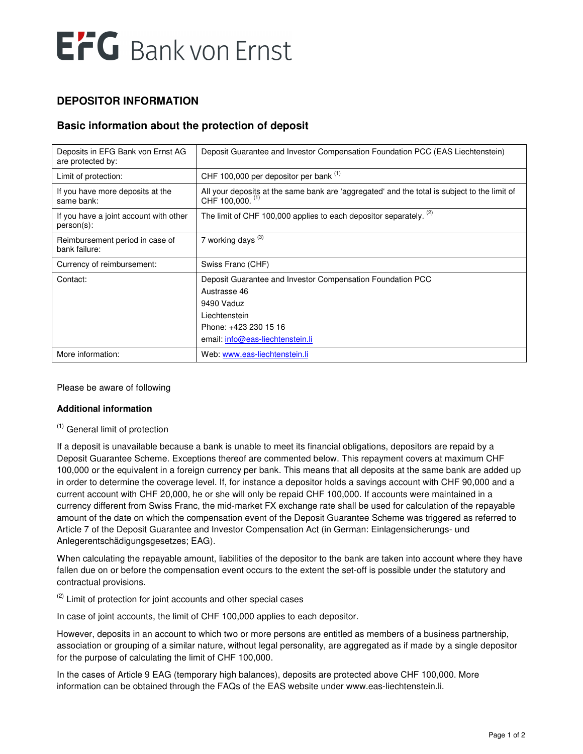# EFG Bank von Ernst

## **DEPOSITOR INFORMATION**

## **Basic information about the protection of deposit**

| Deposits in EFG Bank von Ernst AG<br>are protected by:  | Deposit Guarantee and Investor Compensation Foundation PCC (EAS Liechtenstein)                                                                                         |
|---------------------------------------------------------|------------------------------------------------------------------------------------------------------------------------------------------------------------------------|
| Limit of protection:                                    | CHF 100,000 per depositor per bank (1)                                                                                                                                 |
| If you have more deposits at the<br>same bank:          | All your deposits at the same bank are 'aggregated' and the total is subject to the limit of<br>CHF 100,000. (1)                                                       |
| If you have a joint account with other<br>$person(s)$ : | The limit of CHF 100,000 applies to each depositor separately. (2)                                                                                                     |
| Reimbursement period in case of<br>bank failure:        | 7 working days $(3)$                                                                                                                                                   |
| Currency of reimbursement:                              | Swiss Franc (CHF)                                                                                                                                                      |
| Contact:                                                | Deposit Guarantee and Investor Compensation Foundation PCC<br>Austrasse 46<br>9490 Vaduz<br>Liechtenstein<br>Phone: +423 230 15 16<br>email: info@eas-liechtenstein.li |
| More information:                                       | Web: www.eas-liechtenstein.li                                                                                                                                          |

Please be aware of following

#### **Additional information**

#### (1) General limit of protection

If a deposit is unavailable because a bank is unable to meet its financial obligations, depositors are repaid by a Deposit Guarantee Scheme. Exceptions thereof are commented below. This repayment covers at maximum CHF 100,000 or the equivalent in a foreign currency per bank. This means that all deposits at the same bank are added up in order to determine the coverage level. If, for instance a depositor holds a savings account with CHF 90,000 and a current account with CHF 20,000, he or she will only be repaid CHF 100,000. If accounts were maintained in a currency different from Swiss Franc, the mid-market FX exchange rate shall be used for calculation of the repayable amount of the date on which the compensation event of the Deposit Guarantee Scheme was triggered as referred to Article 7 of the Deposit Guarantee and Investor Compensation Act (in German: Einlagensicherungs- und Anlegerentschädigungsgesetzes; EAG).

When calculating the repayable amount, liabilities of the depositor to the bank are taken into account where they have fallen due on or before the compensation event occurs to the extent the set-off is possible under the statutory and contractual provisions.

 $<sup>(2)</sup>$  Limit of protection for joint accounts and other special cases</sup>

In case of joint accounts, the limit of CHF 100,000 applies to each depositor.

However, deposits in an account to which two or more persons are entitled as members of a business partnership, association or grouping of a similar nature, without legal personality, are aggregated as if made by a single depositor for the purpose of calculating the limit of CHF 100,000.

In the cases of Article 9 EAG (temporary high balances), deposits are protected above CHF 100,000. More information can be obtained through the FAQs of the EAS website under www.eas-liechtenstein.li.